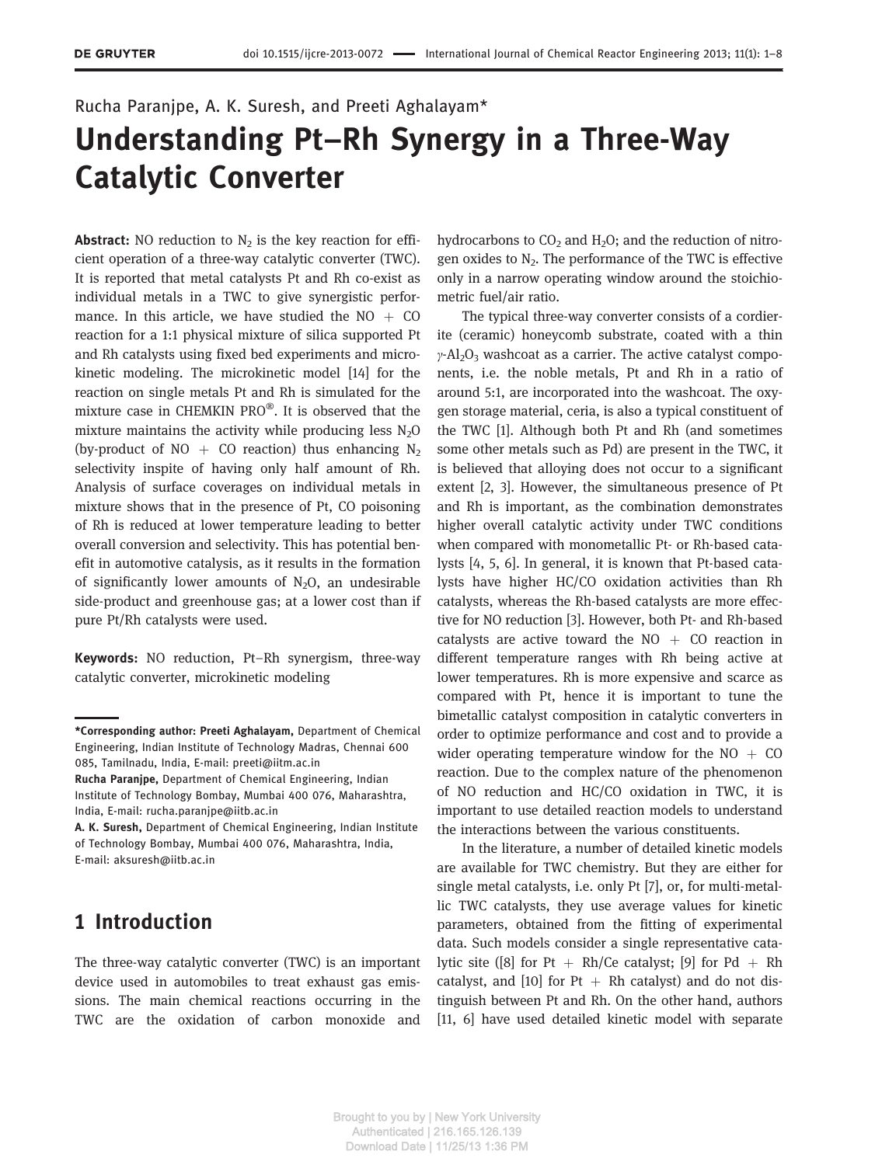# Rucha Paranjpe, A. K. Suresh, and Preeti Aghalayam\* Understanding Pt–Rh Synergy in a Three-Way Catalytic Converter

**Abstract:** NO reduction to  $N_2$  is the key reaction for efficient operation of a three-way catalytic converter (TWC). It is reported that metal catalysts Pt and Rh co-exist as individual metals in a TWC to give synergistic performance. In this article, we have studied the  $NO + CO$ reaction for a 1:1 physical mixture of silica supported Pt and Rh catalysts using fixed bed experiments and microkinetic modeling. The microkinetic model [14] for the reaction on single metals Pt and Rh is simulated for the mixture case in CHEMKIN PRO®. It is observed that the mixture maintains the activity while producing less  $N<sub>2</sub>O$ (by-product of NO  $+$  CO reaction) thus enhancing N<sub>2</sub> selectivity inspite of having only half amount of Rh. Analysis of surface coverages on individual metals in mixture shows that in the presence of Pt, CO poisoning of Rh is reduced at lower temperature leading to better overall conversion and selectivity. This has potential benefit in automotive catalysis, as it results in the formation of significantly lower amounts of  $N<sub>2</sub>O$ , an undesirable side-product and greenhouse gas; at a lower cost than if pure Pt/Rh catalysts were used.

Keywords: NO reduction, Pt-Rh synergism, three-way catalytic converter, microkinetic modeling

Rucha Paranjpe, Department of Chemical Engineering, Indian Institute of Technology Bombay, Mumbai 400 076, Maharashtra, India, E-mail: rucha.paranjpe@iitb.ac.in

### 1 Introduction

The three-way catalytic converter (TWC) is an important device used in automobiles to treat exhaust gas emissions. The main chemical reactions occurring in the TWC are the oxidation of carbon monoxide and

hydrocarbons to  $CO<sub>2</sub>$  and  $H<sub>2</sub>O$ ; and the reduction of nitrogen oxides to  $N_2$ . The performance of the TWC is effective only in a narrow operating window around the stoichiometric fuel/air ratio.

The typical three-way converter consists of a cordierite (ceramic) honeycomb substrate, coated with a thin  $\gamma$ -Al<sub>2</sub>O<sub>3</sub> washcoat as a carrier. The active catalyst components, i.e. the noble metals, Pt and Rh in a ratio of around 5:1, are incorporated into the washcoat. The oxygen storage material, ceria, is also a typical constituent of the TWC [1]. Although both Pt and Rh (and sometimes some other metals such as Pd) are present in the TWC, it is believed that alloying does not occur to a significant extent [2, 3]. However, the simultaneous presence of Pt and Rh is important, as the combination demonstrates higher overall catalytic activity under TWC conditions when compared with monometallic Pt- or Rh-based catalysts [4, 5, 6]. In general, it is known that Pt-based catalysts have higher HC/CO oxidation activities than Rh catalysts, whereas the Rh-based catalysts are more effective for NO reduction [3]. However, both Pt- and Rh-based catalysts are active toward the  $NO + CO$  reaction in different temperature ranges with Rh being active at lower temperatures. Rh is more expensive and scarce as compared with Pt, hence it is important to tune the bimetallic catalyst composition in catalytic converters in order to optimize performance and cost and to provide a wider operating temperature window for the  $NO + CO$ reaction. Due to the complex nature of the phenomenon of NO reduction and HC/CO oxidation in TWC, it is important to use detailed reaction models to understand the interactions between the various constituents.

In the literature, a number of detailed kinetic models are available for TWC chemistry. But they are either for single metal catalysts, i.e. only Pt [7], or, for multi-metallic TWC catalysts, they use average values for kinetic parameters, obtained from the fitting of experimental data. Such models consider a single representative catalytic site ([8] for Pt  $+$  Rh/Ce catalyst; [9] for Pd  $+$  Rh catalyst, and [10] for Pt  $+$  Rh catalyst) and do not distinguish between Pt and Rh. On the other hand, authors [11, 6] have used detailed kinetic model with separate

<sup>\*</sup>Corresponding author: Preeti Aghalayam, Department of Chemical Engineering, Indian Institute of Technology Madras, Chennai 600 085, Tamilnadu, India, E-mail: preeti@iitm.ac.in

A. K. Suresh, Department of Chemical Engineering, Indian Institute of Technology Bombay, Mumbai 400 076, Maharashtra, India, E-mail: aksuresh@iitb.ac.in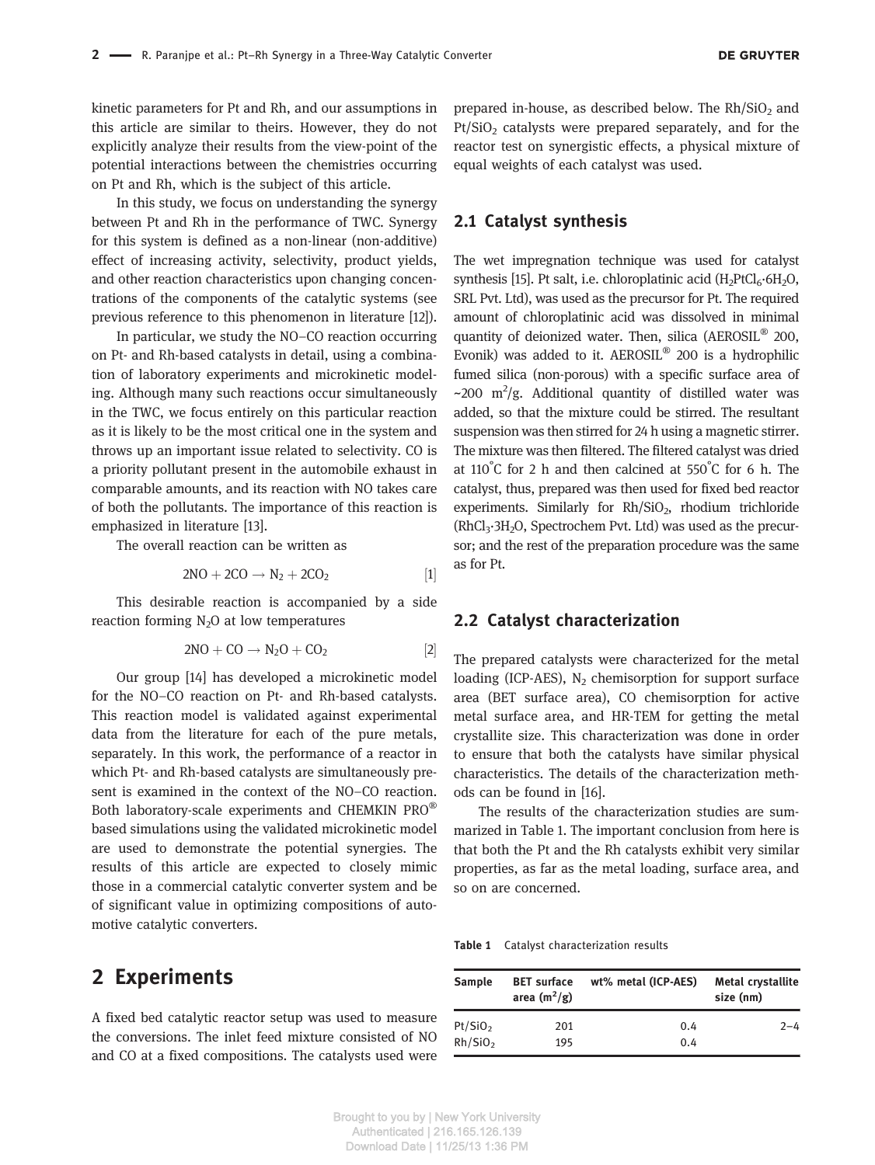kinetic parameters for Pt and Rh, and our assumptions in this article are similar to theirs. However, they do not explicitly analyze their results from the view-point of the potential interactions between the chemistries occurring on Pt and Rh, which is the subject of this article.

In this study, we focus on understanding the synergy between Pt and Rh in the performance of TWC. Synergy for this system is defined as a non-linear (non-additive) effect of increasing activity, selectivity, product yields, and other reaction characteristics upon changing concentrations of the components of the catalytic systems (see previous reference to this phenomenon in literature [12]).

In particular, we study the NO–CO reaction occurring on Pt- and Rh-based catalysts in detail, using a combination of laboratory experiments and microkinetic modeling. Although many such reactions occur simultaneously in the TWC, we focus entirely on this particular reaction as it is likely to be the most critical one in the system and throws up an important issue related to selectivity. CO is a priority pollutant present in the automobile exhaust in comparable amounts, and its reaction with NO takes care of both the pollutants. The importance of this reaction is emphasized in literature [13].

The overall reaction can be written as

$$
2NO + 2CO \rightarrow N_2 + 2CO_2 \tag{1}
$$

This desirable reaction is accompanied by a side reaction forming  $N<sub>2</sub>O$  at low temperatures

$$
2NO + CO \rightarrow N_2O + CO_2 \qquad [2]
$$

Our group [14] has developed a microkinetic model for the NO–CO reaction on Pt- and Rh-based catalysts. This reaction model is validated against experimental data from the literature for each of the pure metals, separately. In this work, the performance of a reactor in which Pt- and Rh-based catalysts are simultaneously present is examined in the context of the NO–CO reaction. Both laboratory-scale experiments and CHEMKIN PRO® based simulations using the validated microkinetic model are used to demonstrate the potential synergies. The results of this article are expected to closely mimic those in a commercial catalytic converter system and be of significant value in optimizing compositions of automotive catalytic converters.

#### 2 Experiments

A fixed bed catalytic reactor setup was used to measure the conversions. The inlet feed mixture consisted of NO and CO at a fixed compositions. The catalysts used were

prepared in-house, as described below. The  $Rh/SiO<sub>2</sub>$  and Pt/SiO<sub>2</sub> catalysts were prepared separately, and for the reactor test on synergistic effects, a physical mixture of equal weights of each catalyst was used.

#### 2.1 Catalyst synthesis

The wet impregnation technique was used for catalyst synthesis [15]. Pt salt, i.e. chloroplatinic acid  $(H_2PtCl_6.6H_2O,$ SRL Pvt. Ltd), was used as the precursor for Pt. The required amount of chloroplatinic acid was dissolved in minimal quantity of deionized water. Then, silica (AEROSIL® 200, Evonik) was added to it. AEROSIL® 200 is a hydrophilic fumed silica (non-porous) with a specific surface area of ~200 m<sup>2</sup>/g. Additional quantity of distilled water was added, so that the mixture could be stirred. The resultant suspension was then stirred for 24 h using a magnetic stirrer. The mixture was then filtered. The filtered catalyst was dried at 110° C for 2 h and then calcined at 550° C for 6 h. The catalyst, thus, prepared was then used for fixed bed reactor experiments. Similarly for Rh/SiO<sub>2</sub>, rhodium trichloride  $(RhCl<sub>3</sub>·3H<sub>2</sub>O, Spectrochem Pvt. Ltd) was used as the precur$ sor; and the rest of the preparation procedure was the same as for Pt.

#### 2.2 Catalyst characterization

The prepared catalysts were characterized for the metal loading (ICP-AES),  $N_2$  chemisorption for support surface area (BET surface area), CO chemisorption for active metal surface area, and HR-TEM for getting the metal crystallite size. This characterization was done in order to ensure that both the catalysts have similar physical characteristics. The details of the characterization methods can be found in [16].

The results of the characterization studies are summarized in Table 1. The important conclusion from here is that both the Pt and the Rh catalysts exhibit very similar properties, as far as the metal loading, surface area, and so on are concerned.

| Table 1 |  | Catalyst characterization results |  |
|---------|--|-----------------------------------|--|
|---------|--|-----------------------------------|--|

| <b>Sample</b>       | <b>BET</b> surface<br>area $(m^2/g)$ | wt% metal (ICP-AES) | <b>Metal crystallite</b><br>size (nm) |
|---------------------|--------------------------------------|---------------------|---------------------------------------|
| Pt/SiO <sub>2</sub> | 201                                  | 0.4                 | $2 - 4$                               |
| Rh/SiO <sub>2</sub> | 195                                  | 0.4                 |                                       |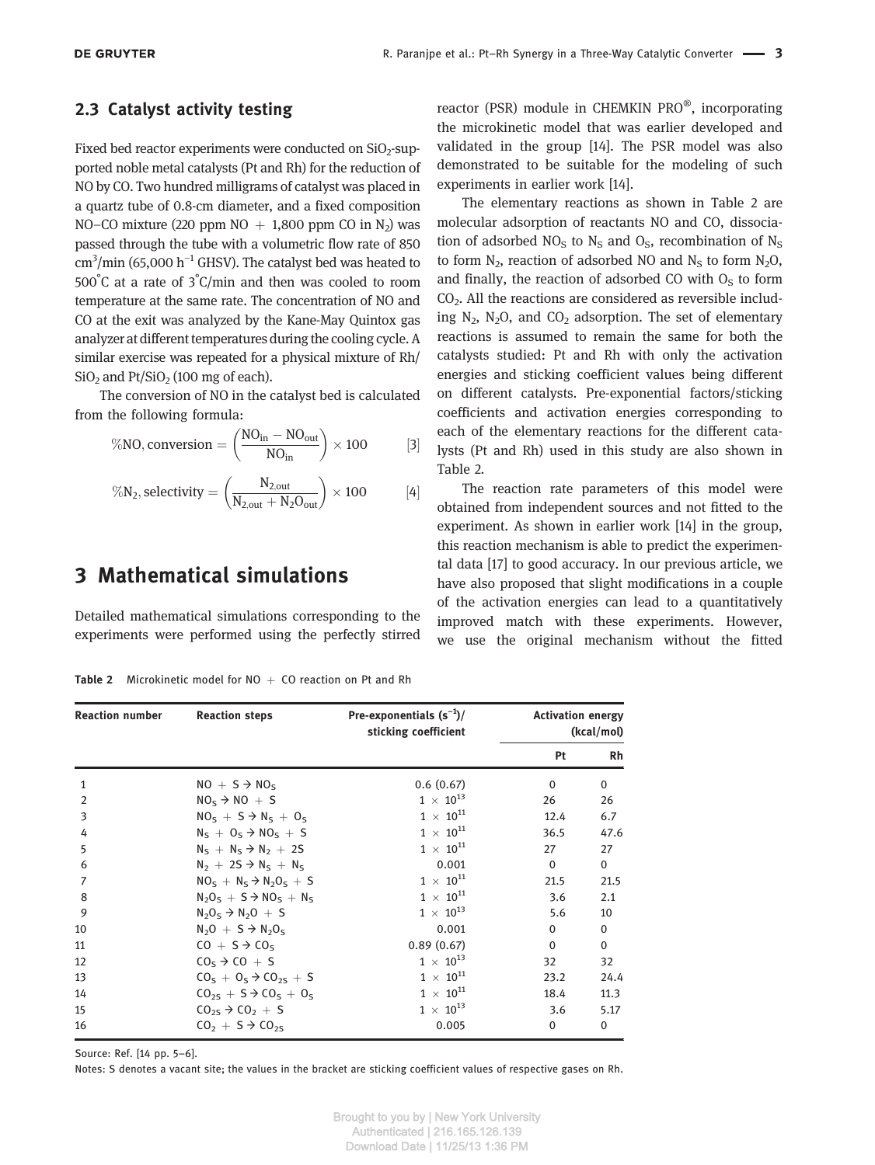#### 2.3 Catalyst activity testing

Fixed bed reactor experiments were conducted on  $SiO<sub>2</sub>$ -supported noble metal catalysts (Pt and Rh) for the reduction of NO by CO. Two hundred milligrams of catalyst was placed in a quartz tube of 0.8-cm diameter, and a fixed composition NO–CO mixture (220 ppm  $NO + 1,800$  ppm CO in  $N_2$ ) was passed through the tube with a volumetric flow rate of 850 cm<sup>3</sup> /min (65,000 h−<sup>1</sup> GHSV). The catalyst bed was heated to 500° C at a rate of 3° C/min and then was cooled to room temperature at the same rate. The concentration of NO and CO at the exit was analyzed by the Kane-May Quintox gas analyzer at different temperatures during the cooling cycle. A similar exercise was repeated for a physical mixture of Rh/  $SiO<sub>2</sub>$  and  $Pt/SiO<sub>2</sub>$  (100 mg of each).

The conversion of NO in the catalyst bed is calculated from the following formula:

$$
\%\textrm{NO, conversion} = \left(\frac{\textrm{NO}_{in} - \textrm{NO}_{out}}{\textrm{NO}_{in}}\right) \times 100 \hspace{1cm} [3]
$$

$$
\%\textrm{N}_2, selectivity = \left(\frac{N_{2,out}}{N_{2,out}+N_2O_{out}}\right)\times 100 \hspace{1cm} [4]
$$

### 3 Mathematical simulations

Detailed mathematical simulations corresponding to the experiments were performed using the perfectly stirred

**Table 2** Microkinetic model for  $NO + CO$  reaction on Pt and Rh

reactor (PSR) module in CHEMKIN PRO®, incorporating the microkinetic model that was earlier developed and validated in the group [14]. The PSR model was also demonstrated to be suitable for the modeling of such experiments in earlier work [14].

The elementary reactions as shown in Table 2 are molecular adsorption of reactants NO and CO, dissociation of adsorbed  $NO<sub>S</sub>$  to  $N<sub>S</sub>$  and  $O<sub>S</sub>$ , recombination of  $N<sub>S</sub>$ to form  $N_2$ , reaction of adsorbed NO and  $N_S$  to form  $N_2O$ , and finally, the reaction of adsorbed CO with  $O<sub>S</sub>$  to form CO<sup>2</sup> . All the reactions are considered as reversible including  $N_2$ ,  $N_2O$ , and  $CO_2$  adsorption. The set of elementary reactions is assumed to remain the same for both the catalysts studied: Pt and Rh with only the activation energies and sticking coefficient values being different on different catalysts. Pre-exponential factors/sticking coefficients and activation energies corresponding to each of the elementary reactions for the different catalysts (Pt and Rh) used in this study are also shown in Table 2.

The reaction rate parameters of this model were obtained from independent sources and not fitted to the experiment. As shown in earlier work [14] in the group, this reaction mechanism is able to predict the experimental data [17] to good accuracy. In our previous article, we have also proposed that slight modifications in a couple of the activation energies can lead to a quantitatively improved match with these experiments. However, we use the original mechanism without the fitted

| <b>Reaction number</b> | <b>Reaction steps</b>                | Pre-exponentials $(s^{-1})/$<br>sticking coefficient | <b>Activation energy</b><br>(kcal/mol) |              |
|------------------------|--------------------------------------|------------------------------------------------------|----------------------------------------|--------------|
|                        |                                      |                                                      | Pt                                     | <b>Rh</b>    |
| 1                      | $NO + S \rightarrow NO_S$            | 0.6(0.67)                                            | $\mathbf 0$                            | 0            |
| 2                      | $NOs \rightarrow NO + S$             | $1 \times 10^{13}$                                   | 26                                     | 26           |
| 3                      | $NOs + S \rightarrow Ns + Os$        | $1\times 10^{11}$                                    | 12.4                                   | 6.7          |
| 4                      | $N_5 + 0_5 \rightarrow NO_5 + S$     | $1\times10^{11}$                                     | 36.5                                   | 47.6         |
| 5                      | $N_5 + N_5 \rightarrow N_2 + 2S$     | $1 \times 10^{11}$                                   | 27                                     | 27           |
| 6                      | $N_2 + 2S \rightarrow N_S + N_S$     | 0.001                                                | $\mathbf{0}$                           | $\mathbf 0$  |
| 7                      | $NOs + Ns \rightarrow N2Os + S$      | $1 \times 10^{11}$                                   | 21.5                                   | 21.5         |
| 8                      | $N_2O_5 + S \rightarrow NO_5 + N_5$  | $1\times10^{11}$                                     | 3.6                                    | 2.1          |
| 9                      | $N_2O_5 \rightarrow N_2O + S$        | $1\times10^{13}$                                     | 5.6                                    | 10           |
| 10                     | $N_2O + S \rightarrow N_2O_S$        | 0.001                                                | $\mathbf 0$                            | 0            |
| 11                     | $CO + S \rightarrow CO_S$            | 0.89(0.67)                                           | $\mathbf 0$                            | $\mathbf{0}$ |
| 12                     | $COs \rightarrow CO + S$             | $1 \times 10^{13}$                                   | 32                                     | 32           |
| 13                     | $CO5 + O5 \rightarrow CO25 + S$      | $1\times10^{11}$                                     | 23.2                                   | 24.4         |
| 14                     | $CO_{25} + S \rightarrow CO_5 + O_5$ | $1 \times 10^{11}$                                   | 18.4                                   | 11.3         |
| 15                     | $CO_{25} \rightarrow CO_2 + S$       | $1 \times 10^{13}$                                   | 3.6                                    | 5.17         |
| 16                     | $CO2 + S \rightarrow CO2S$           | 0.005                                                | $\Omega$                               | $\mathbf{0}$ |

Source: Ref. [14 pp. 5–6].

Notes: S denotes a vacant site; the values in the bracket are sticking coefficient values of respective gases on Rh.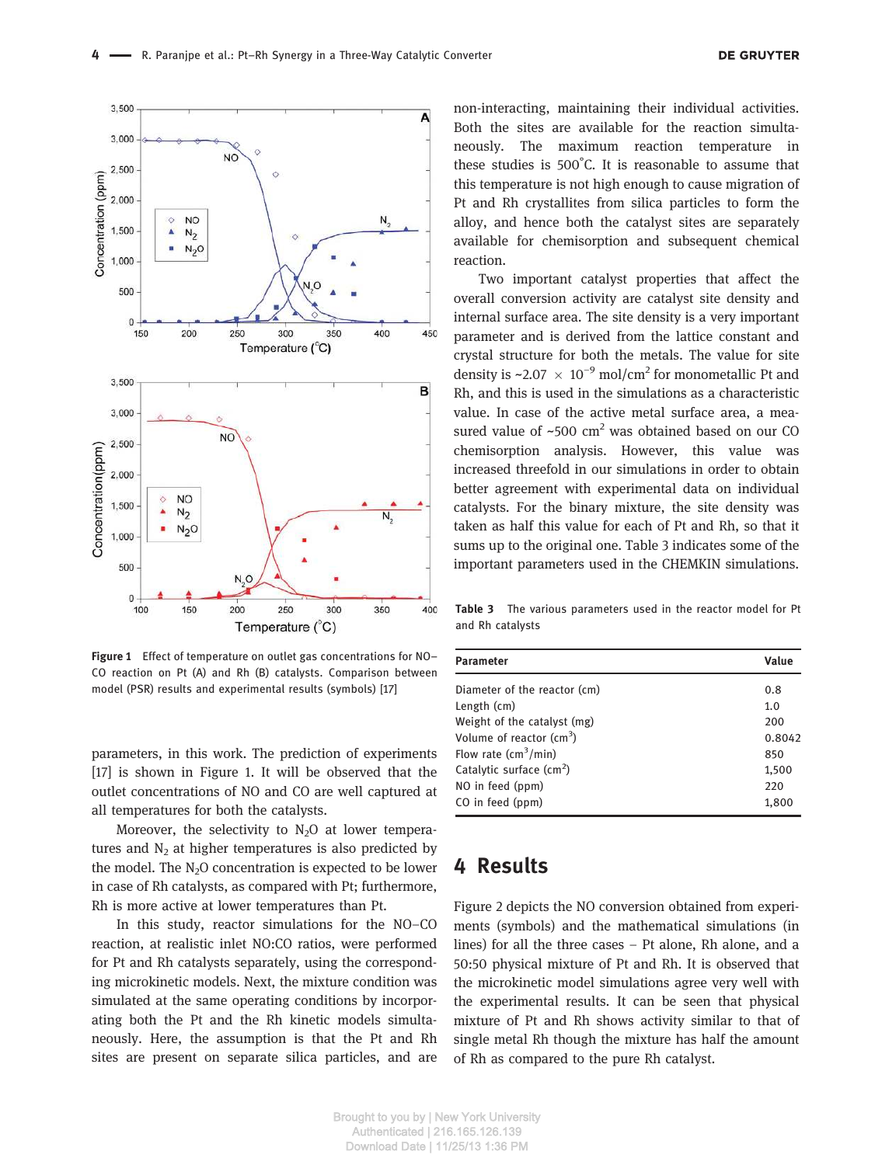

Figure 1 Effect of temperature on outlet gas concentrations for NO– CO reaction on Pt (A) and Rh (B) catalysts. Comparison between model (PSR) results and experimental results (symbols) [17]

parameters, in this work. The prediction of experiments [17] is shown in Figure 1. It will be observed that the outlet concentrations of NO and CO are well captured at all temperatures for both the catalysts.

Moreover, the selectivity to  $N_2O$  at lower temperatures and  $N<sub>2</sub>$  at higher temperatures is also predicted by the model. The  $N_2O$  concentration is expected to be lower in case of Rh catalysts, as compared with Pt; furthermore, Rh is more active at lower temperatures than Pt.

In this study, reactor simulations for the NO–CO reaction, at realistic inlet NO:CO ratios, were performed for Pt and Rh catalysts separately, using the corresponding microkinetic models. Next, the mixture condition was simulated at the same operating conditions by incorporating both the Pt and the Rh kinetic models simultaneously. Here, the assumption is that the Pt and Rh sites are present on separate silica particles, and are non-interacting, maintaining their individual activities. Both the sites are available for the reaction simultaneously. The maximum reaction temperature in these studies is 500° C. It is reasonable to assume that this temperature is not high enough to cause migration of Pt and Rh crystallites from silica particles to form the alloy, and hence both the catalyst sites are separately available for chemisorption and subsequent chemical reaction.

Two important catalyst properties that affect the overall conversion activity are catalyst site density and internal surface area. The site density is a very important parameter and is derived from the lattice constant and crystal structure for both the metals. The value for site density is ~2.07  $\times$  10<sup>-9</sup> mol/cm<sup>2</sup> for monometallic Pt and Rh, and this is used in the simulations as a characteristic value. In case of the active metal surface area, a measured value of  $\sim$ 500 cm<sup>2</sup> was obtained based on our CO chemisorption analysis. However, this value was increased threefold in our simulations in order to obtain better agreement with experimental data on individual catalysts. For the binary mixture, the site density was taken as half this value for each of Pt and Rh, so that it sums up to the original one. Table 3 indicates some of the important parameters used in the CHEMKIN simulations.

Table 3 The various parameters used in the reactor model for Pt and Rh catalysts

| <b>Parameter</b>                         | Value  |  |
|------------------------------------------|--------|--|
| Diameter of the reactor (cm)             | 0.8    |  |
| Length (cm)                              | 1.0    |  |
| Weight of the catalyst (mg)              | 200    |  |
| Volume of reactor $\text{(cm}^3\text{)}$ | 0.8042 |  |
| Flow rate $\text{(cm}^3/\text{min})$     | 850    |  |
| Catalytic surface $(cm2)$                | 1,500  |  |
| NO in feed (ppm)                         | 220    |  |
| CO in feed (ppm)                         | 1,800  |  |

### 4 Results

Figure 2 depicts the NO conversion obtained from experiments (symbols) and the mathematical simulations (in lines) for all the three cases – Pt alone, Rh alone, and a 50:50 physical mixture of Pt and Rh. It is observed that the microkinetic model simulations agree very well with the experimental results. It can be seen that physical mixture of Pt and Rh shows activity similar to that of single metal Rh though the mixture has half the amount of Rh as compared to the pure Rh catalyst.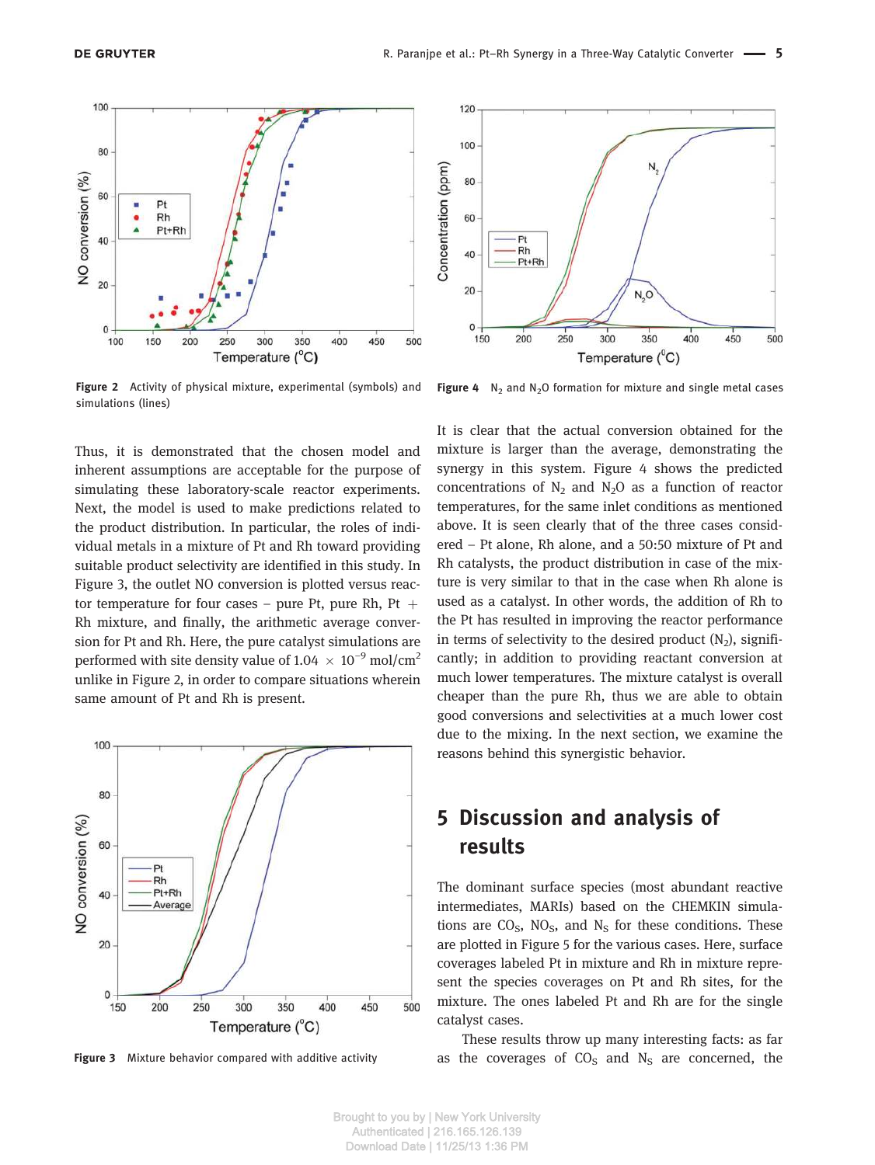

Figure 2 Activity of physical mixture, experimental (symbols) and simulations (lines)

Thus, it is demonstrated that the chosen model and inherent assumptions are acceptable for the purpose of simulating these laboratory-scale reactor experiments. Next, the model is used to make predictions related to the product distribution. In particular, the roles of individual metals in a mixture of Pt and Rh toward providing suitable product selectivity are identified in this study. In Figure 3, the outlet NO conversion is plotted versus reactor temperature for four cases – pure Pt, pure Rh, Pt  $+$ Rh mixture, and finally, the arithmetic average conversion for Pt and Rh. Here, the pure catalyst simulations are performed with site density value of 1.04  $\times$  10<sup>-9</sup> mol/cm<sup>2</sup> unlike in Figure 2, in order to compare situations wherein same amount of Pt and Rh is present.



Figure 3 Mixture behavior compared with additive activity



**Figure 4**  $N_2$  and  $N_2O$  formation for mixture and single metal cases

It is clear that the actual conversion obtained for the mixture is larger than the average, demonstrating the synergy in this system. Figure 4 shows the predicted concentrations of  $N_2$  and  $N_2O$  as a function of reactor temperatures, for the same inlet conditions as mentioned above. It is seen clearly that of the three cases considered – Pt alone, Rh alone, and a 50:50 mixture of Pt and Rh catalysts, the product distribution in case of the mixture is very similar to that in the case when Rh alone is used as a catalyst. In other words, the addition of Rh to the Pt has resulted in improving the reactor performance in terms of selectivity to the desired product  $(N_2)$ , significantly; in addition to providing reactant conversion at much lower temperatures. The mixture catalyst is overall cheaper than the pure Rh, thus we are able to obtain good conversions and selectivities at a much lower cost due to the mixing. In the next section, we examine the reasons behind this synergistic behavior.

## 5 Discussion and analysis of results

The dominant surface species (most abundant reactive intermediates, MARIs) based on the CHEMKIN simulations are  $CO<sub>S</sub>$ , NO<sub>S</sub>, and N<sub>S</sub> for these conditions. These are plotted in Figure 5 for the various cases. Here, surface coverages labeled Pt in mixture and Rh in mixture represent the species coverages on Pt and Rh sites, for the mixture. The ones labeled Pt and Rh are for the single catalyst cases.

These results throw up many interesting facts: as far as the coverages of  $CO<sub>S</sub>$  and  $N<sub>S</sub>$  are concerned, the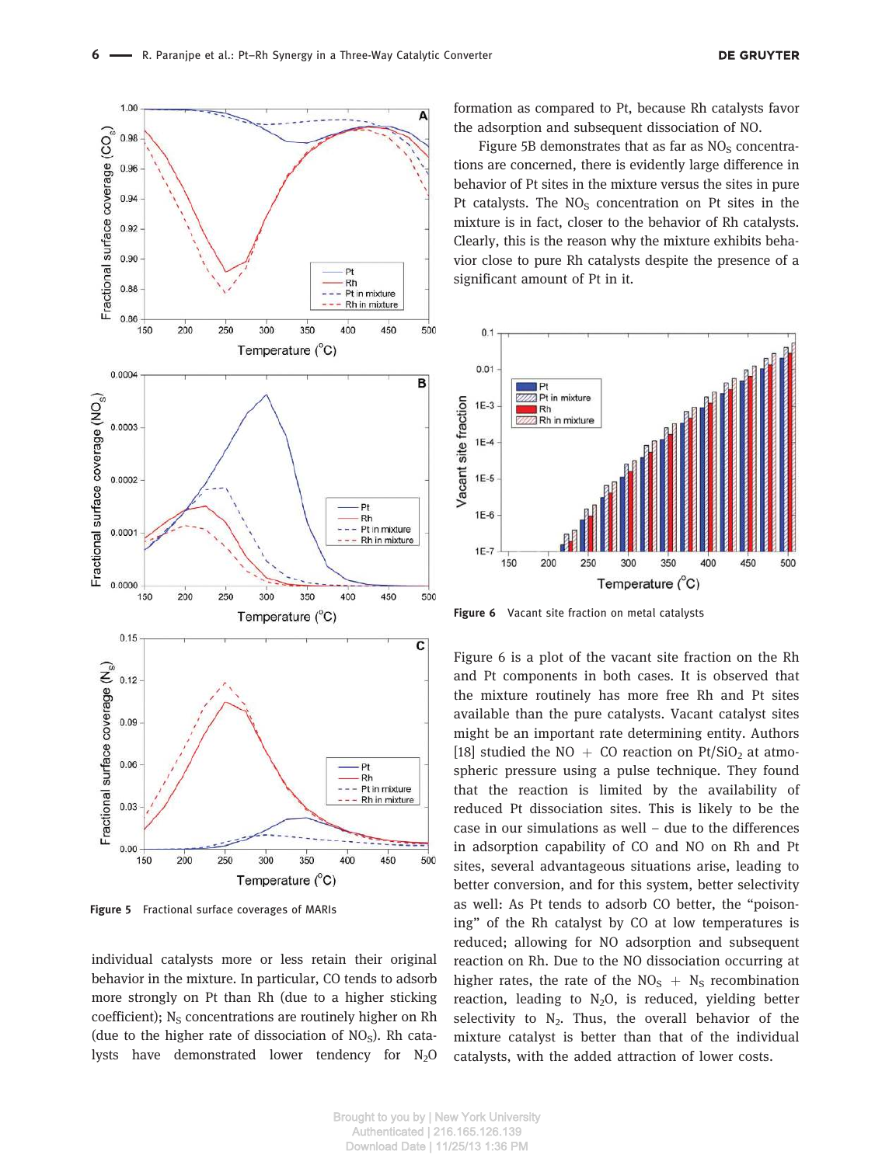

Figure 5 Fractional surface coverages of MARIs

individual catalysts more or less retain their original behavior in the mixture. In particular, CO tends to adsorb more strongly on Pt than Rh (due to a higher sticking coefficient);  $N_S$  concentrations are routinely higher on Rh (due to the higher rate of dissociation of  $NO<sub>S</sub>$ ). Rh catalysts have demonstrated lower tendency for  $N_2O$  formation as compared to Pt, because Rh catalysts favor the adsorption and subsequent dissociation of NO.

Figure 5B demonstrates that as far as  $NO<sub>s</sub>$  concentrations are concerned, there is evidently large difference in behavior of Pt sites in the mixture versus the sites in pure Pt catalysts. The  $NO<sub>S</sub>$  concentration on Pt sites in the mixture is in fact, closer to the behavior of Rh catalysts. Clearly, this is the reason why the mixture exhibits behavior close to pure Rh catalysts despite the presence of a significant amount of Pt in it.



Figure 6 Vacant site fraction on metal catalysts

Figure 6 is a plot of the vacant site fraction on the Rh and Pt components in both cases. It is observed that the mixture routinely has more free Rh and Pt sites available than the pure catalysts. Vacant catalyst sites might be an important rate determining entity. Authors [18] studied the NO + CO reaction on Pt/SiO<sub>2</sub> at atmospheric pressure using a pulse technique. They found that the reaction is limited by the availability of reduced Pt dissociation sites. This is likely to be the case in our simulations as well – due to the differences in adsorption capability of CO and NO on Rh and Pt sites, several advantageous situations arise, leading to better conversion, and for this system, better selectivity as well: As Pt tends to adsorb CO better, the "poisoning" of the Rh catalyst by CO at low temperatures is reduced; allowing for NO adsorption and subsequent reaction on Rh. Due to the NO dissociation occurring at higher rates, the rate of the  $NO<sub>S</sub> + N<sub>S</sub>$  recombination reaction, leading to  $N_2O$ , is reduced, yielding better selectivity to  $N_2$ . Thus, the overall behavior of the mixture catalyst is better than that of the individual catalysts, with the added attraction of lower costs.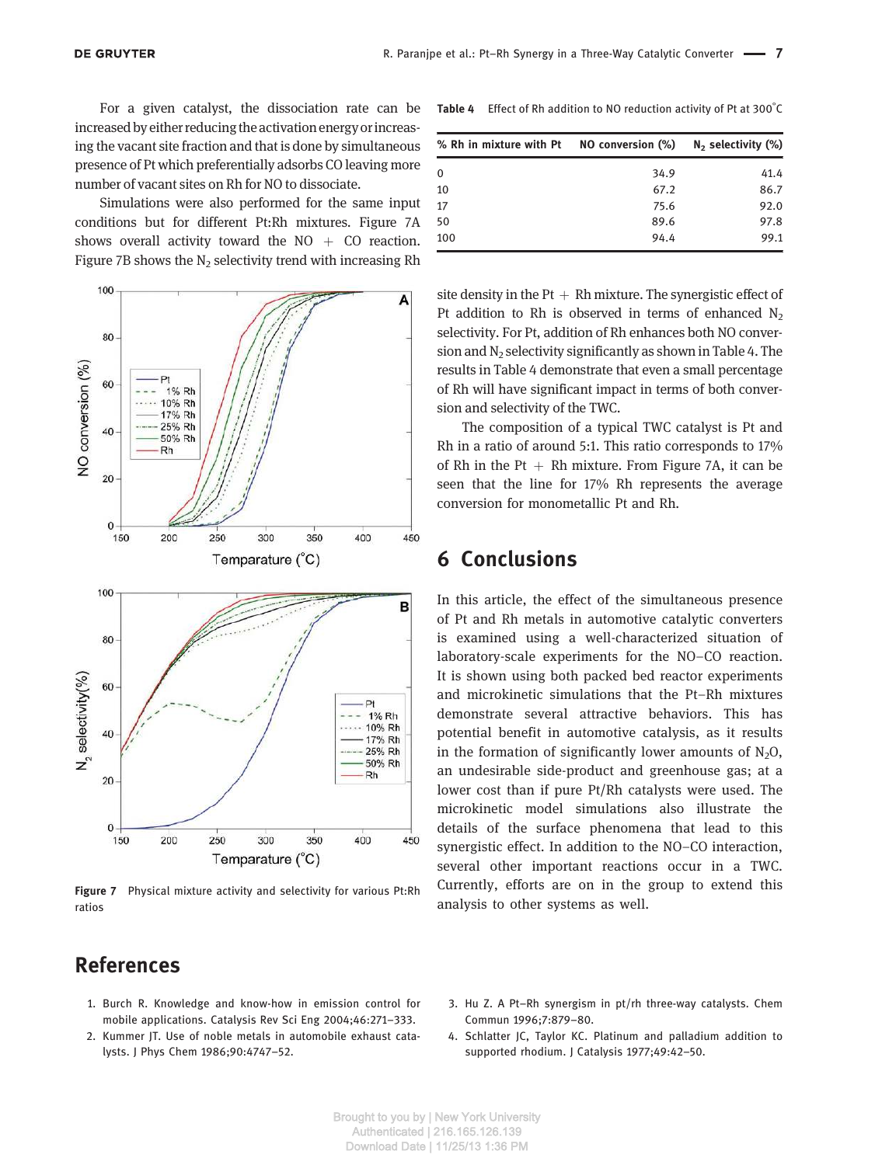For a given catalyst, the dissociation rate can be increased by either reducing the activation energy orincreasing the vacant site fraction and that is done by simultaneous presence of Pt which preferentially adsorbs CO leaving more number of vacant sites on Rh for NO to dissociate.

Simulations were also performed for the same input conditions but for different Pt:Rh mixtures. Figure 7A shows overall activity toward the  $NO + CO$  reaction. Figure 7B shows the  $N<sub>2</sub>$  selectivity trend with increasing Rh



Figure 7 Physical mixture activity and selectivity for various Pt:Rh ratios

### References

- 1. Burch R. Knowledge and know-how in emission control for mobile applications. Catalysis Rev Sci Eng 2004;46:271–333.
- 2. Kummer JT. Use of noble metals in automobile exhaust catalysts. J Phys Chem 1986;90:4747–52.

Table 4 Effect of Rh addition to NO reduction activity of Pt at 300°C

| % Rh in mixture with Pt NO conversion $(\%)$ N <sub>2</sub> selectivity $(\%)$ |      |      |
|--------------------------------------------------------------------------------|------|------|
| 0                                                                              | 34.9 | 41.4 |
| 10                                                                             | 67.2 | 86.7 |
| 17                                                                             | 75.6 | 92.0 |
| 50                                                                             | 89.6 | 97.8 |
| 100                                                                            | 94.4 | 99.1 |

site density in the Pt  $+$  Rh mixture. The synergistic effect of Pt addition to Rh is observed in terms of enhanced  $N_2$ selectivity. For Pt, addition of Rh enhances both NO conversion and  $N_2$  selectivity significantly as shown in Table 4. The results in Table 4 demonstrate that even a small percentage of Rh will have significant impact in terms of both conversion and selectivity of the TWC.

The composition of a typical TWC catalyst is Pt and Rh in a ratio of around 5:1. This ratio corresponds to 17% of Rh in the Pt  $+$  Rh mixture. From Figure 7A, it can be seen that the line for 17% Rh represents the average conversion for monometallic Pt and Rh.

#### 6 Conclusions

In this article, the effect of the simultaneous presence of Pt and Rh metals in automotive catalytic converters is examined using a well-characterized situation of laboratory-scale experiments for the NO–CO reaction. It is shown using both packed bed reactor experiments and microkinetic simulations that the Pt–Rh mixtures demonstrate several attractive behaviors. This has potential benefit in automotive catalysis, as it results in the formation of significantly lower amounts of  $N_2O$ , an undesirable side-product and greenhouse gas; at a lower cost than if pure Pt/Rh catalysts were used. The microkinetic model simulations also illustrate the details of the surface phenomena that lead to this synergistic effect. In addition to the NO–CO interaction, several other important reactions occur in a TWC. Currently, efforts are on in the group to extend this analysis to other systems as well.

- 3. Hu Z. A Pt–Rh synergism in pt/rh three-way catalysts. Chem Commun 1996;7:879–80.
- 4. Schlatter JC, Taylor KC. Platinum and palladium addition to supported rhodium. J Catalysis 1977;49:42–50.